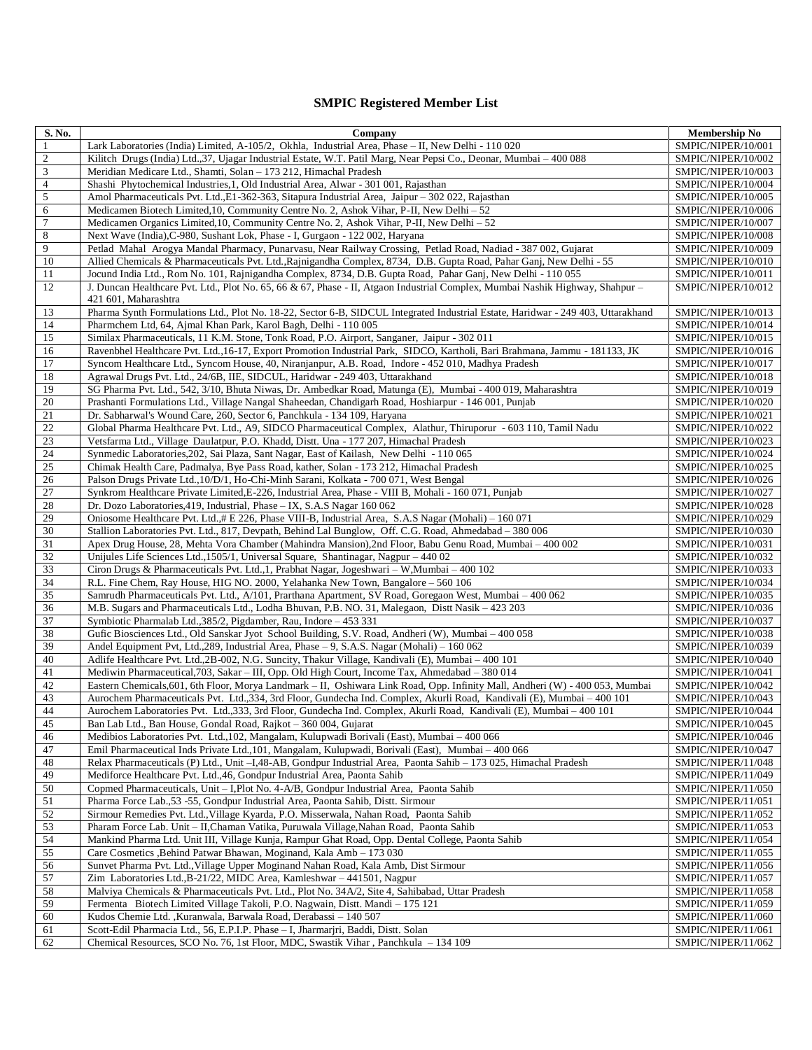## **SMPIC Registered Member List**

| S. No.          | Company                                                                                                                                                                          | <b>Membership No</b>                     |
|-----------------|----------------------------------------------------------------------------------------------------------------------------------------------------------------------------------|------------------------------------------|
| $\mathbf{1}$    | Lark Laboratories (India) Limited, A-105/2, Okhla, Industrial Area, Phase - II, New Delhi - 110 020                                                                              | SMPIC/NIPER/10/001                       |
| $\overline{c}$  | Kilitch Drugs (India) Ltd.,37, Ujagar Industrial Estate, W.T. Patil Marg, Near Pepsi Co., Deonar, Mumbai - 400 088                                                               | SMPIC/NIPER/10/002                       |
| $\mathfrak{Z}$  | Meridian Medicare Ltd., Shamti, Solan - 173 212, Himachal Pradesh                                                                                                                | SMPIC/NIPER/10/003                       |
| $\overline{4}$  | Shashi Phytochemical Industries, 1, Old Industrial Area, Alwar - 301 001, Rajasthan                                                                                              | SMPIC/NIPER/10/004                       |
| $\overline{5}$  | Amol Pharmaceuticals Pvt. Ltd., E1-362-363, Sitapura Industrial Area, Jaipur - 302 022, Rajasthan                                                                                | SMPIC/NIPER/10/005                       |
| $\sqrt{6}$      | Medicamen Biotech Limited, 10, Community Centre No. 2, Ashok Vihar, P-II, New Delhi - 52                                                                                         | SMPIC/NIPER/10/006                       |
| $\tau$          | Medicamen Organics Limited, 10, Community Centre No. 2, Ashok Vihar, P-II, New Delhi $-52$                                                                                       | SMPIC/NIPER/10/007                       |
| $\,8\,$         | Next Wave (India), C-980, Sushant Lok, Phase - I, Gurgaon - 122 002, Haryana                                                                                                     | SMPIC/NIPER/10/008                       |
| 9               | Petlad Mahal Arogya Mandal Pharmacy, Punarvasu, Near Railway Crossing, Petlad Road, Nadiad - 387 002, Gujarat                                                                    | SMPIC/NIPER/10/009                       |
| 10              | Allied Chemicals & Pharmaceuticals Pvt. Ltd., Rajnigandha Complex, 8734, D.B. Gupta Road, Pahar Ganj, New Delhi - 55                                                             | SMPIC/NIPER/10/010                       |
| 11              | Jocund India Ltd., Rom No. 101, Rajnigandha Complex, 8734, D.B. Gupta Road, Pahar Ganj, New Delhi - 110 055                                                                      | SMPIC/NIPER/10/011                       |
| 12              | J. Duncan Healthcare Pvt. Ltd., Plot No. 65, 66 & 67, Phase - II, Atgaon Industrial Complex, Mumbai Nashik Highway, Shahpur -<br>421 601, Maharashtra                            | SMPIC/NIPER/10/012                       |
| 13              | Pharma Synth Formulations Ltd., Plot No. 18-22, Sector 6-B, SIDCUL Integrated Industrial Estate, Haridwar - 249 403, Uttarakhand                                                 | SMPIC/NIPER/10/013                       |
| 14              | Pharmchem Ltd, 64, Ajmal Khan Park, Karol Bagh, Delhi - 110 005                                                                                                                  | SMPIC/NIPER/10/014                       |
| 15              | Similax Pharmaceuticals, 11 K.M. Stone, Tonk Road, P.O. Airport, Sanganer, Jaipur - 302 011                                                                                      | SMPIC/NIPER/10/015                       |
| 16              | Ravenbhel Healthcare Pvt. Ltd.,16-17, Export Promotion Industrial Park, SIDCO, Kartholi, Bari Brahmana, Jammu - 181133, JK                                                       | SMPIC/NIPER/10/016                       |
| 17              | Syncom Healthcare Ltd., Syncom House, 40, Niranjanpur, A.B. Road, Indore - 452 010, Madhya Pradesh                                                                               | SMPIC/NIPER/10/017                       |
| 18              | Agrawal Drugs Pvt. Ltd., 24/6B, IIE, SIDCUL, Haridwar - 249 403, Uttarakhand                                                                                                     | SMPIC/NIPER/10/018                       |
| 19              | SG Pharma Pvt. Ltd., 542, 3/10, Bhuta Niwas, Dr. Ambedkar Road, Matunga (E), Mumbai - 400 019, Maharashtra                                                                       | SMPIC/NIPER/10/019                       |
| $20\,$          | Prashanti Formulations Ltd., Village Nangal Shaheedan, Chandigarh Road, Hoshiarpur - 146 001, Punjab                                                                             | SMPIC/NIPER/10/020                       |
| 21              | Dr. Sabharwal's Wound Care, 260, Sector 6, Panchkula - 134 109, Haryana                                                                                                          | SMPIC/NIPER/10/021                       |
| 22              | Global Pharma Healthcare Pvt. Ltd., A9, SIDCO Pharmaceutical Complex, Alathur, Thiruporur - 603 110, Tamil Nadu                                                                  | SMPIC/NIPER/10/022                       |
| 23              | Vetsfarma Ltd., Village Daulatpur, P.O. Khadd, Distt. Una - 177 207, Himachal Pradesh                                                                                            | SMPIC/NIPER/10/023                       |
| $\overline{24}$ | Synmedic Laboratories, 202, Sai Plaza, Sant Nagar, East of Kailash, New Delhi - 110 065                                                                                          | SMPIC/NIPER/10/024                       |
| 25              | Chimak Health Care, Padmalya, Bye Pass Road, kather, Solan - 173 212, Himachal Pradesh                                                                                           | SMPIC/NIPER/10/025                       |
| 26              | Palson Drugs Private Ltd., 10/D/1, Ho-Chi-Minh Sarani, Kolkata - 700 071, West Bengal                                                                                            | SMPIC/NIPER/10/026                       |
| 27              | Synkrom Healthcare Private Limited, E-226, Industrial Area, Phase - VIII B, Mohali - 160 071, Punjab                                                                             | SMPIC/NIPER/10/027                       |
| 28              | Dr. Dozo Laboratories, 419, Industrial, Phase - IX, S.A.S Nagar 160 062                                                                                                          | SMPIC/NIPER/10/028                       |
| 29              | Oniosome Healthcare Pvt. Ltd.,# E 226, Phase VIII-B, Industrial Area, S.A.S Nagar (Mohali) - 160 071                                                                             | SMPIC/NIPER/10/029                       |
| 30              | Stallion Laboratories Pvt. Ltd., 817, Devpath, Behind Lal Bunglow, Off. C.G. Road, Ahmedabad - 380 006                                                                           | SMPIC/NIPER/10/030                       |
| 31              | Apex Drug House, 28, Mehta Vora Chamber (Mahindra Mansion), 2nd Floor, Babu Genu Road, Mumbai - 400 002                                                                          | SMPIC/NIPER/10/031                       |
| 32              | Unijules Life Sciences Ltd., 1505/1, Universal Square, Shantinagar, Nagpur - 440 02                                                                                              | SMPIC/NIPER/10/032                       |
| 33              | Ciron Drugs & Pharmaceuticals Pvt. Ltd., 1, Prabhat Nagar, Jogeshwari – W, Mumbai – 400 102                                                                                      | SMPIC/NIPER/10/033                       |
| 34              | R.L. Fine Chem, Ray House, HIG NO. 2000, Yelahanka New Town, Bangalore - 560 106                                                                                                 | SMPIC/NIPER/10/034                       |
| 35              | Samrudh Pharmaceuticals Pvt. Ltd., A/101, Prarthana Apartment, SV Road, Goregaon West, Mumbai - 400 062                                                                          | SMPIC/NIPER/10/035                       |
| 36              | M.B. Sugars and Pharmaceuticals Ltd., Lodha Bhuvan, P.B. NO. 31, Malegaon, Distt Nasik – 423 203                                                                                 | SMPIC/NIPER/10/036                       |
| 37              | Symbiotic Pharmalab Ltd., 385/2, Pigdamber, Rau, Indore - 453 331                                                                                                                | SMPIC/NIPER/10/037                       |
| 38              | Gufic Biosciences Ltd., Old Sanskar Jyot School Building, S.V. Road, Andheri (W), Mumbai - 400 058                                                                               | SMPIC/NIPER/10/038                       |
| 39              | Andel Equipment Pvt, Ltd., 289, Industrial Area, Phase – 9, S.A.S. Nagar (Mohali) – 160 062                                                                                      | SMPIC/NIPER/10/039                       |
| 40              | Adlife Healthcare Pvt. Ltd., 2B-002, N.G. Suncity, Thakur Village, Kandivali (E), Mumbai - 400 101                                                                               | SMPIC/NIPER/10/040                       |
| 41              | Mediwin Pharmaceutical, 703, Sakar - III, Opp. Old High Court, Income Tax, Ahmedabad - 380 014                                                                                   | SMPIC/NIPER/10/041                       |
| 42              | Eastern Chemicals, 601, 6th Floor, Morya Landmark – II, Oshiwara Link Road, Opp. Infinity Mall, Andheri (W) - 400 053, Mumbai                                                    | SMPIC/NIPER/10/042                       |
| 43              | Aurochem Pharmaceuticals Pvt. Ltd.,334, 3rd Floor, Gundecha Ind. Complex, Akurli Road, Kandivali (E), Mumbai - 400 101                                                           | SMPIC/NIPER/10/043                       |
| 44              | Aurochem Laboratories Pvt. Ltd., 333, 3rd Floor, Gundecha Ind. Complex, Akurli Road, Kandivali (E), Mumbai - 400 101                                                             | SMPIC/NIPER/10/044                       |
| 45              | Ban Lab Ltd., Ban House, Gondal Road, Rajkot - 360 004, Gujarat                                                                                                                  | SMPIC/NIPER/10/045                       |
| 46              | Medibios Laboratories Pvt. Ltd., 102, Mangalam, Kulupwadi Borivali (East), Mumbai – 400 066                                                                                      | SMPIC/NIPER/10/046                       |
| 47              | Emil Pharmaceutical Inds Private Ltd., 101, Mangalam, Kulupwadi, Borivali (East), Mumbai - 400 066                                                                               | SMPIC/NIPER/10/047                       |
| 48              | Relax Pharmaceuticals (P) Ltd., Unit -L48-AB, Gondpur Industrial Area, Paonta Sahib - 173 025, Himachal Pradesh                                                                  | SMPIC/NIPER/11/048                       |
| 49              | Mediforce Healthcare Pvt. Ltd.,46, Gondpur Industrial Area, Paonta Sahib                                                                                                         | SMPIC/NIPER/11/049                       |
| 50              | Copmed Pharmaceuticals, Unit - I, Plot No. 4-A/B, Gondpur Industrial Area, Paonta Sahib                                                                                          | SMPIC/NIPER/11/050                       |
| 51              | Pharma Force Lab., 53 - 55, Gondpur Industrial Area, Paonta Sahib, Distt. Sirmour                                                                                                | SMPIC/NIPER/11/051                       |
| 52              | Sirmour Remedies Pvt. Ltd., Village Kyarda, P.O. Misserwala, Nahan Road, Paonta Sahib                                                                                            | SMPIC/NIPER/11/052                       |
| 53              | Pharam Force Lab. Unit - II, Chaman Vatika, Puruwala Village, Nahan Road, Paonta Sahib                                                                                           | SMPIC/NIPER/11/053                       |
| 54              | Mankind Pharma Ltd. Unit III, Village Kunja, Rampur Ghat Road, Opp. Dental College, Paonta Sahib                                                                                 | SMPIC/NIPER/11/054                       |
| 55              | Care Cosmetics , Behind Patwar Bhawan, Moginand, Kala Amb - 173 030                                                                                                              | SMPIC/NIPER/11/055                       |
| 56              | Sunvet Pharma Pvt. Ltd., Village Upper Moginand Nahan Road, Kala Amb, Dist Sirmour                                                                                               | SMPIC/NIPER/11/056                       |
| 57              | Zim Laboratories Ltd., B-21/22, MIDC Area, Kamleshwar - 441501, Nagpur                                                                                                           | SMPIC/NIPER/11/057                       |
| 58              | Malviya Chemicals & Pharmaceuticals Pvt. Ltd., Plot No. 34A/2, Site 4, Sahibabad, Uttar Pradesh<br>Fermenta Biotech Limited Village Takoli, P.O. Nagwain, Distt. Mandi - 175 121 | SMPIC/NIPER/11/058                       |
| 59<br>60        | Kudos Chemie Ltd., Kuranwala, Barwala Road, Derabassi - 140 507                                                                                                                  | SMPIC/NIPER/11/059<br>SMPIC/NIPER/11/060 |
| 61              | Scott-Edil Pharmacia Ltd., 56, E.P.I.P. Phase - I, Jharmarjri, Baddi, Distt. Solan                                                                                               | SMPIC/NIPER/11/061                       |
| 62              | Chemical Resources, SCO No. 76, 1st Floor, MDC, Swastik Vihar, Panchkula - 134 109                                                                                               | SMPIC/NIPER/11/062                       |
|                 |                                                                                                                                                                                  |                                          |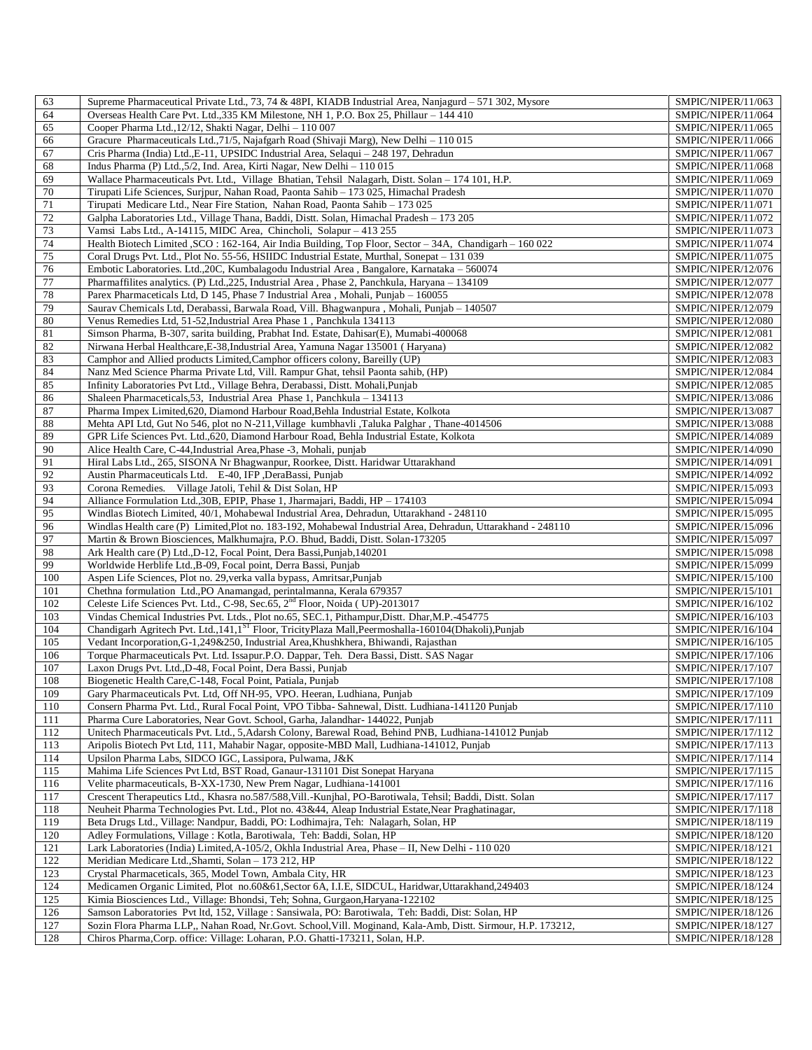| 63         | Supreme Pharmaceutical Private Ltd., 73, 74 & 48PI, KIADB Industrial Area, Nanjagurd - 571 302, Mysore                                                                                         | SMPIC/NIPER/11/063                       |
|------------|------------------------------------------------------------------------------------------------------------------------------------------------------------------------------------------------|------------------------------------------|
| 64         | Overseas Health Care Pvt. Ltd., 335 KM Milestone, NH 1, P.O. Box 25, Phillaur - 144 410                                                                                                        | SMPIC/NIPER/11/064                       |
| 65         | Cooper Pharma Ltd., 12/12, Shakti Nagar, Delhi - 110 007                                                                                                                                       | SMPIC/NIPER/11/065                       |
| 66         | Gracure Pharmaceuticals Ltd., 71/5, Najafgarh Road (Shivaji Marg), New Delhi - 110 015                                                                                                         | SMPIC/NIPER/11/066                       |
| 67         | Cris Pharma (India) Ltd., E-11, UPSIDC Industrial Area, Selaqui - 248 197, Dehradun                                                                                                            | SMPIC/NIPER/11/067                       |
| 68         | Indus Pharma (P) Ltd., 5/2, Ind. Area, Kirti Nagar, New Delhi – 110 015                                                                                                                        | SMPIC/NIPER/11/068                       |
| 69         | Wallace Pharmaceuticals Pvt. Ltd., Village Bhatian, Tehsil Nalagarh, Distt. Solan - 174 101, H.P.                                                                                              | SMPIC/NIPER/11/069                       |
| 70         | Tirupati Life Sciences, Surjpur, Nahan Road, Paonta Sahib - 173 025, Himachal Pradesh                                                                                                          | SMPIC/NIPER/11/070                       |
| 71         | Tirupati Medicare Ltd., Near Fire Station, Nahan Road, Paonta Sahib - 173 025                                                                                                                  | SMPIC/NIPER/11/071                       |
| 72         | Galpha Laboratories Ltd., Village Thana, Baddi, Distt. Solan, Himachal Pradesh - 173 205                                                                                                       | SMPIC/NIPER/11/072                       |
| 73         | Vamsi Labs Ltd., A-14115, MIDC Area, Chincholi, Solapur – 413 255                                                                                                                              | SMPIC/NIPER/11/073                       |
| 74         | Health Biotech Limited , SCO : 162-164, Air India Building, Top Floor, Sector - 34A, Chandigarh - 160 022                                                                                      | SMPIC/NIPER/11/074                       |
| 75         | Coral Drugs Pvt. Ltd., Plot No. 55-56, HSIIDC Industrial Estate, Murthal, Sonepat - 131 039                                                                                                    | SMPIC/NIPER/11/075                       |
| 76         | Embotic Laboratories. Ltd., 20C, Kumbalagodu Industrial Area, Bangalore, Karnataka – 560074                                                                                                    | SMPIC/NIPER/12/076                       |
| 77         | Pharmaffilites analytics. (P) Ltd., 225, Industrial Area, Phase 2, Panchkula, Haryana – 134109                                                                                                 | SMPIC/NIPER/12/077                       |
| 78         | Parex Pharmaceticals Ltd, D 145, Phase 7 Industrial Area, Mohali, Punjab - 160055                                                                                                              | SMPIC/NIPER/12/078                       |
| 79         | Saurav Chemicals Ltd, Derabassi, Barwala Road, Vill. Bhagwanpura, Mohali, Punjab - 140507                                                                                                      | SMPIC/NIPER/12/079                       |
| 80         | Venus Remedies Ltd, 51-52, Industrial Area Phase 1, Panchkula 134113                                                                                                                           | SMPIC/NIPER/12/080                       |
| 81         | Simson Pharma, B-307, sarita building, Prabhat Ind. Estate, Dahisar(E), Mumabi-400068                                                                                                          | SMPIC/NIPER/12/081                       |
| 82         | Nirwana Herbal Healthcare, E-38, Industrial Area, Yamuna Nagar 135001 (Haryana)                                                                                                                | SMPIC/NIPER/12/082                       |
| 83         | Camphor and Allied products Limited, Camphor officers colony, Bareilly (UP)                                                                                                                    | SMPIC/NIPER/12/083                       |
| 84         | Nanz Med Science Pharma Private Ltd, Vill. Rampur Ghat, tehsil Paonta sahib, (HP)                                                                                                              | SMPIC/NIPER/12/084                       |
|            |                                                                                                                                                                                                |                                          |
| 85         | Infinity Laboratories Pvt Ltd., Village Behra, Derabassi, Distt. Mohali, Punjab                                                                                                                | SMPIC/NIPER/12/085                       |
| 86         | Shaleen Pharmaceticals, 53, Industrial Area Phase 1, Panchkula - 134113                                                                                                                        | SMPIC/NIPER/13/086                       |
| 87         | Pharma Impex Limited, 620, Diamond Harbour Road, Behla Industrial Estate, Kolkota                                                                                                              | SMPIC/NIPER/13/087                       |
| 88         | Mehta API Ltd, Gut No 546, plot no N-211, Village kumbhavli , Taluka Palghar , Thane-4014506                                                                                                   | SMPIC/NIPER/13/088                       |
| 89         | GPR Life Sciences Pvt. Ltd.,620, Diamond Harbour Road, Behla Industrial Estate, Kolkota                                                                                                        | SMPIC/NIPER/14/089                       |
| 90         | Alice Health Care, C-44, Industrial Area, Phase -3, Mohali, punjab                                                                                                                             | SMPIC/NIPER/14/090                       |
| 91         | Hiral Labs Ltd., 265, SISONA Nr Bhagwanpur, Roorkee, Distt. Haridwar Uttarakhand                                                                                                               | SMPIC/NIPER/14/091                       |
| 92         | Austin Pharmaceuticals Ltd. E-40, IFP ,DeraBassi, Punjab                                                                                                                                       | SMPIC/NIPER/14/092                       |
| 93         | Corona Remedies. Village Jatoli, Tehil & Dist Solan, HP                                                                                                                                        | SMPIC/NIPER/15/093                       |
| 94         | Alliance Formulation Ltd., 30B, EPIP, Phase 1, Jharmajari, Baddi, HP - 174103                                                                                                                  | SMPIC/NIPER/15/094                       |
| 95         | Windlas Biotech Limited, 40/1, Mohabewal Industrial Area, Dehradun, Uttarakhand - 248110                                                                                                       | SMPIC/NIPER/15/095                       |
| 96         | Windlas Health care (P) Limited, Plot no. 183-192, Mohabewal Industrial Area, Dehradun, Uttarakhand - 248110                                                                                   | SMPIC/NIPER/15/096                       |
| 97         | Martin & Brown Biosciences, Malkhumajra, P.O. Bhud, Baddi, Distt. Solan-173205                                                                                                                 | SMPIC/NIPER/15/097                       |
| 98         | Ark Health care (P) Ltd., D-12, Focal Point, Dera Bassi, Punjab, 140201                                                                                                                        | SMPIC/NIPER/15/098                       |
| 99         | Worldwide Herblife Ltd., B-09, Focal point, Derra Bassi, Punjab                                                                                                                                | SMPIC/NIPER/15/099                       |
| 100        | Aspen Life Sciences, Plot no. 29, verka valla bypass, Amritsar, Punjab                                                                                                                         | SMPIC/NIPER/15/100                       |
| 101        | Chethna formulation Ltd., PO Anamangad, perintalmanna, Kerala 679357                                                                                                                           | SMPIC/NIPER/15/101                       |
| 102        | Celeste Life Sciences Pvt. Ltd., C-98, Sec.65, 2 <sup>nd</sup> Floor, Noida (UP)-2013017                                                                                                       | SMPIC/NIPER/16/102                       |
| 103        | Vindas Chemical Industries Pvt. Ltds., Plot no.65, SEC.1, Pithampur, Distt. Dhar, M.P.-454775                                                                                                  | SMPIC/NIPER/16/103                       |
| 104        | Chandigarh Agritech Pvt. Ltd.,141,1 <sup>ST</sup> Floor, TricityPlaza Mall,Peermoshalla-160104(Dhakoli),Punjab                                                                                 | SMPIC/NIPER/16/104                       |
| 105        | Vedant Incorporation, G-1,249&250, Industrial Area, Khushkhera, Bhiwandi, Rajasthan                                                                                                            | SMPIC/NIPER/16/105                       |
| 106        | Torque Pharmaceuticals Pvt. Ltd. Issapur.P.O. Dappar, Teh. Dera Bassi, Distt. SAS Nagar                                                                                                        | SMPIC/NIPER/17/106                       |
| 107        | Laxon Drugs Pvt. Ltd., D-48, Focal Point, Dera Bassi, Punjab                                                                                                                                   | SMPIC/NIPER/17/107                       |
| 108        | Biogenetic Health Care, C-148, Focal Point, Patiala, Punjab                                                                                                                                    | SMPIC/NIPER/17/108                       |
| 109        | Gary Pharmaceuticals Pvt. Ltd, Off NH-95, VPO. Heeran, Ludhiana, Punjab                                                                                                                        | SMPIC/NIPER/17/109                       |
| 110        | Consern Pharma Pvt. Ltd., Rural Focal Point, VPO Tibba- Sahnewal, Distt. Ludhiana-141120 Punjab                                                                                                | SMPIC/NIPER/17/110                       |
| 111        | Pharma Cure Laboratories, Near Govt. School, Garha, Jalandhar- 144022, Punjab                                                                                                                  | SMPIC/NIPER/17/111                       |
| 112        | Unitech Pharmaceuticals Pvt. Ltd., 5, Adarsh Colony, Barewal Road, Behind PNB, Ludhiana-141012 Punjab                                                                                          | SMPIC/NIPER/17/112                       |
| 113        | Aripolis Biotech Pvt Ltd, 111, Mahabir Nagar, opposite-MBD Mall, Ludhiana-141012, Punjab                                                                                                       | SMPIC/NIPER/17/113                       |
| 114        | Upsilon Pharma Labs, SIDCO IGC, Lassipora, Pulwama, J&K                                                                                                                                        | SMPIC/NIPER/17/114                       |
| 115        | Mahima Life Sciences Pvt Ltd, BST Road, Ganaur-131101 Dist Sonepat Haryana                                                                                                                     | SMPIC/NIPER/17/115                       |
| 116        | Velite pharmaceuticals, B-XX-1730, New Prem Nagar, Ludhiana-141001                                                                                                                             | SMPIC/NIPER/17/116                       |
| 117        | Crescent Therapeutics Ltd., Khasra no.587/588, Vill.-Kunjhal, PO-Barotiwala, Tehsil; Baddi, Distt. Solan                                                                                       | SMPIC/NIPER/17/117                       |
| 118        | Neuheit Pharma Technologies Pvt. Ltd., Plot no. 43&44, Aleap Industrial Estate, Near Praghatinagar,                                                                                            | SMPIC/NIPER/17/118                       |
| 119        | Beta Drugs Ltd., Village: Nandpur, Baddi, PO: Lodhimajra, Teh: Nalagarh, Solan, HP                                                                                                             | SMPIC/NIPER/18/119                       |
| 120        | Adley Formulations, Village : Kotla, Barotiwala, Teh: Baddi, Solan, HP                                                                                                                         | SMPIC/NIPER/18/120                       |
| 121        | Lark Laboratories (India) Limited, A-105/2, Okhla Industrial Area, Phase - II, New Delhi - 110 020                                                                                             | SMPIC/NIPER/18/121                       |
| 122        | Meridian Medicare Ltd., Shamti, Solan - 173 212, HP                                                                                                                                            |                                          |
| 123        | Crystal Pharmaceticals, 365, Model Town, Ambala City, HR                                                                                                                                       | SMPIC/NIPER/18/122<br>SMPIC/NIPER/18/123 |
|            |                                                                                                                                                                                                |                                          |
|            |                                                                                                                                                                                                |                                          |
| 124        | Medicamen Organic Limited, Plot no.60&61, Sector 6A, I.I.E, SIDCUL, Haridwar, Uttarakhand, 249403                                                                                              | SMPIC/NIPER/18/124                       |
| 125        | Kimia Biosciences Ltd., Village: Bhondsi, Teh; Sohna, Gurgaon, Haryana-122102                                                                                                                  | SMPIC/NIPER/18/125                       |
| 126        | Samson Laboratories Pvt ltd, 152, Village : Sansiwala, PO: Barotiwala, Teh: Baddi, Dist: Solan, HP                                                                                             | SMPIC/NIPER/18/126                       |
| 127<br>128 | Sozin Flora Pharma LLP,, Nahan Road, Nr.Govt. School, Vill. Moginand, Kala-Amb, Distt. Sirmour, H.P. 173212,<br>Chiros Pharma, Corp. office: Village: Loharan, P.O. Ghatti-173211, Solan, H.P. | SMPIC/NIPER/18/127<br>SMPIC/NIPER/18/128 |